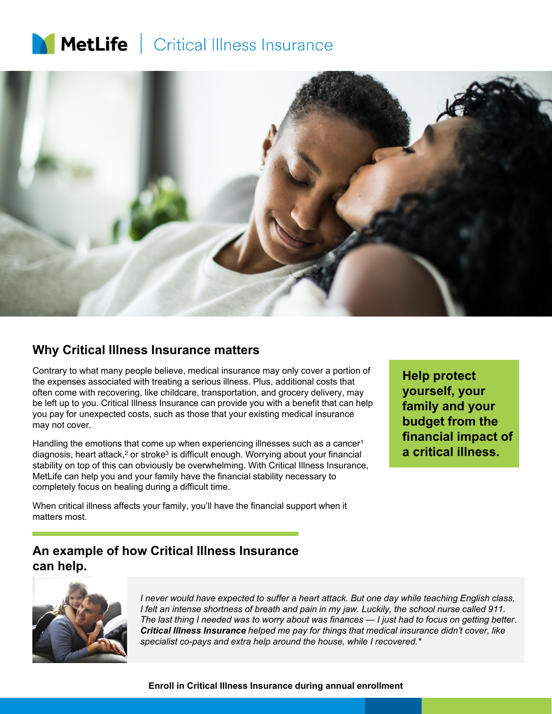# **MetLife** | Critical Illness Insurance



#### **Why Critical Illness Insurance matters**

Contrary to what many people believe, medical insurance may only cover a portion of the expenses associated with treating a serious illness. Plus, additional costs that often come with recovering, like childcare, transportation, and grocery delivery, may be left up to you. Critical Illness Insurance can provide you with a benefit that can help you pay for unexpected costs, such as those that your existing medical insurance may not cover.

Handling the emotions that come up when experiencing illnesses such as a cancer<sup>1</sup> diagnosis, heart attack, $2$  or stroke<sup>3</sup> is difficult enough. Worrying about your financial stability on top of this can obviously be overwhelming. With Critical Illness Insurance, MetLife can help you and your family have the financial stability necessary to completely focus on healing during a difficult time.

**Help protect yourself, your family and your budget from the financial impact of a critical illness.**

When critical illness affects your family, you'll have the financial support when it matters most.

## **An example of how Critical Illness Insurance can help.**



*I never would have expected to suffer a heart attack. But one day while teaching English class, I felt an intense shortness of breath and pain in my jaw. Luckily, the school nurse called 911. The last thing I needed was to worry about was finances — I just had to focus on getting better. Critical Illness Insurance helped me pay for things that medical insurance didn't cover, like specialist co-pays and extra help around the house, while I recovered.\**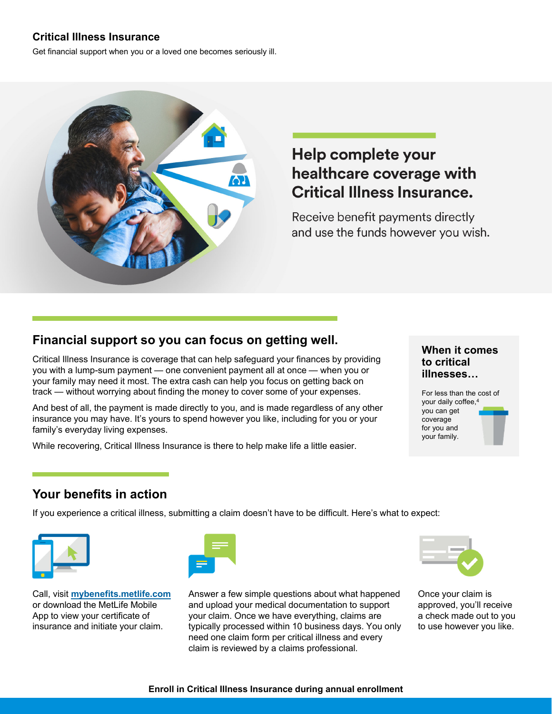#### **Critical Illness Insurance**

Get financial support when you or a loved one becomes seriously ill.



## Help complete your healthcare coverage with **Critical Illness Insurance.**

Receive benefit payments directly and use the funds however you wish.

## **Financial support so you can focus on getting well.**

Critical Illness Insurance is coverage that can help safeguard your finances by providing you with a lump-sum payment — one convenient payment all at once — when you or your family may need it most. The extra cash can help you focus on getting back on track — without worrying about finding the money to cover some of your expenses.

And best of all, the payment is made directly to you, and is made regardless of any other insurance you may have. It's yours to spend however you like, including for you or your family's everyday living expenses.

While recovering, Critical Illness Insurance is there to help make life a little easier.

#### **When it comes to critical illnesses…**



## **Your benefits in action**

If you experience a critical illness, submitting a claim doesn't have to be difficult. Here's what to expect:



Call, visit **mybenefits.metlife.com** or download the MetLife Mobile App to view your certificate of insurance and initiate your claim.



Answer a few simple questions about what happened and upload your medical documentation to support your claim. Once we have everything, claims are typically processed within 10 business days. You only need one claim form per critical illness and every claim is reviewed by a claims professional.



Once your claim is approved, you'll receive a check made out to you to use however you like.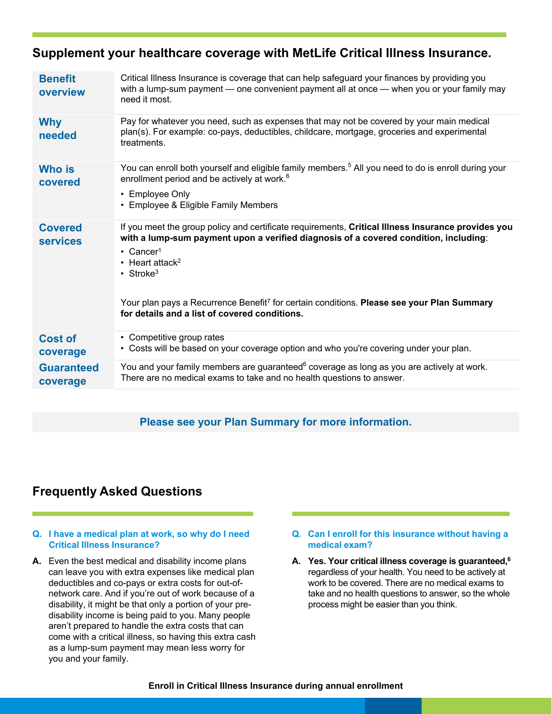## **Supplement your healthcare coverage with MetLife Critical Illness Insurance.**

| <b>Benefit</b><br>overview        | Critical Illness Insurance is coverage that can help safeguard your finances by providing you<br>with a lump-sum payment — one convenient payment all at once — when you or your family may<br>need it most.                                                                                                                                                                                                                                      |
|-----------------------------------|---------------------------------------------------------------------------------------------------------------------------------------------------------------------------------------------------------------------------------------------------------------------------------------------------------------------------------------------------------------------------------------------------------------------------------------------------|
| <b>Why</b><br>needed              | Pay for whatever you need, such as expenses that may not be covered by your main medical<br>plan(s). For example: co-pays, deductibles, childcare, mortgage, groceries and experimental<br>treatments.                                                                                                                                                                                                                                            |
| <b>Who is</b><br>covered          | You can enroll both yourself and eligible family members. <sup>5</sup> All you need to do is enroll during your<br>enrollment period and be actively at work. <sup>6</sup><br>• Employee Only<br>• Employee & Eligible Family Members                                                                                                                                                                                                             |
| <b>Covered</b><br><b>services</b> | If you meet the group policy and certificate requirements, Critical Illness Insurance provides you<br>with a lump-sum payment upon a verified diagnosis of a covered condition, including:<br>$\cdot$ Cancer <sup>1</sup><br>$\cdot$ Heart attack <sup>2</sup><br>• Stroke <sup>3</sup><br>Your plan pays a Recurrence Benefit <sup>7</sup> for certain conditions. Please see your Plan Summary<br>for details and a list of covered conditions. |
| <b>Cost of</b><br>coverage        | • Competitive group rates<br>• Costs will be based on your coverage option and who you're covering under your plan.                                                                                                                                                                                                                                                                                                                               |
| <b>Guaranteed</b><br>coverage     | You and your family members are guaranteed <sup>6</sup> coverage as long as you are actively at work.<br>There are no medical exams to take and no health questions to answer.                                                                                                                                                                                                                                                                    |

#### **Please see your Plan Summary for more information.**

## **Frequently Asked Questions**

#### **Q. I have a medical plan at work, so why do I need Critical Illness Insurance?**

- **A.** Even the best medical and disability income plans can leave you with extra expenses like medical plan deductibles and co-pays or extra costs for out-ofnetwork care. And if you're out of work because of a disability, it might be that only a portion of your predisability income is being paid to you. Many people aren't prepared to handle the extra costs that can come with a critical illness, so having this extra cash as a lump-sum payment may mean less worry for you and your family.
- **Q. Can I enroll for this insurance without having a medical exam?**
- **A. Yes. Your critical illness coverage is guaranteed,6** regardless of your health. You need to be actively at work to be covered. There are no medical exams to take and no health questions to answer, so the whole process might be easier than you think.